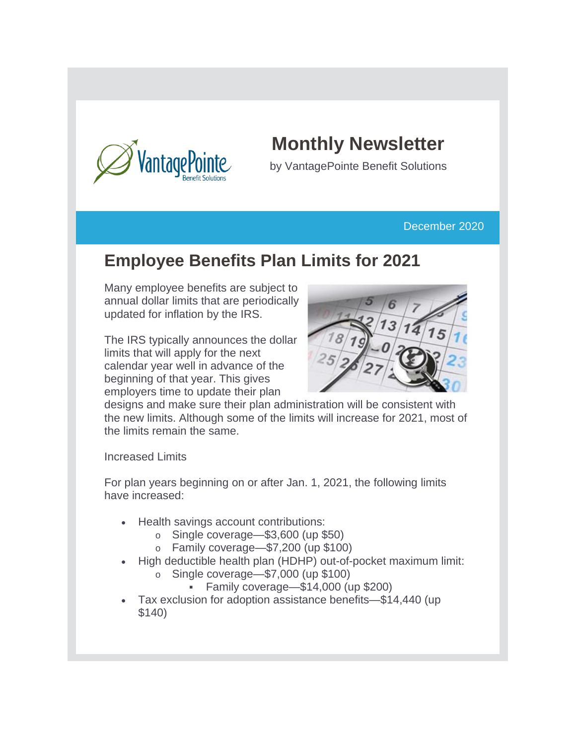

## **Monthly Newsletter**

by VantagePointe Benefit Solutions

#### December 2020

### **Employee Benefits Plan Limits for 2021**

Many employee benefits are subject to annual dollar limits that are periodically updated for inflation by the IRS.

The IRS typically announces the dollar limits that will apply for the next calendar year well in advance of the beginning of that year. This gives employers time to update their plan



designs and make sure their plan administration will be consistent with the new limits. Although some of the limits will increase for 2021, most of the limits remain the same.

Increased Limits

For plan years beginning on or after Jan. 1, 2021, the following limits have increased:

- Health savings account contributions:
	- o Single coverage—\$3,600 (up \$50)
	- o Family coverage—\$7,200 (up \$100)
- High deductible health plan (HDHP) out-of-pocket maximum limit:
	- o Single coverage—\$7,000 (up \$100)
		- Family coverage—\$14,000 (up \$200)
- Tax exclusion for adoption assistance benefits—\$14,440 (up \$140)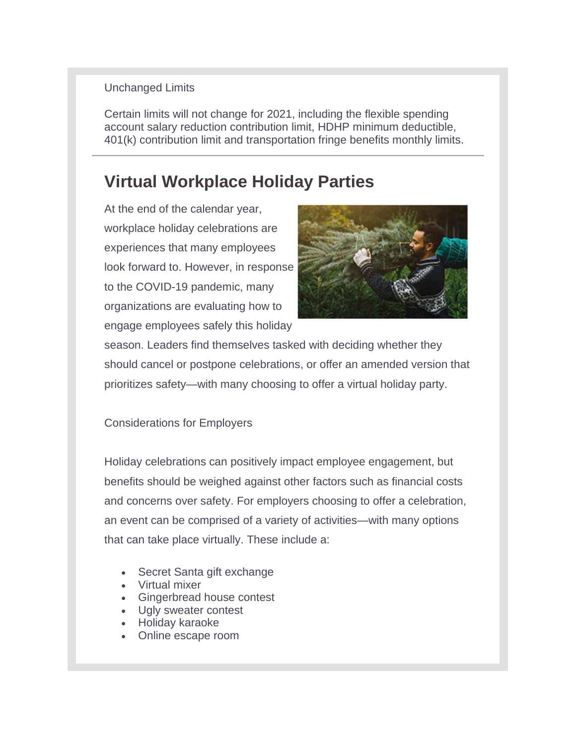#### Unchanged Limits

Certain limits will not change for 2021, including the flexible spending account salary reduction contribution limit, HDHP minimum deductible, 401(k) contribution limit and transportation fringe benefits monthly limits.

### **Virtual Workplace Holiday Parties**

At the end of the calendar year, workplace holiday celebrations are experiences that many employees look forward to. However, in response to the COVID-19 pandemic, many organizations are evaluating how to engage employees safely this holiday



season. Leaders find themselves tasked with deciding whether they should cancel or postpone celebrations, or offer an amended version that prioritizes safety—with many choosing to offer a virtual holiday party.

#### Considerations for Employers

Holiday celebrations can positively impact employee engagement, but benefits should be weighed against other factors such as financial costs and concerns over safety. For employers choosing to offer a celebration, an event can be comprised of a variety of activities—with many options that can take place virtually. These include a:

- Secret Santa gift exchange
- Virtual mixer
- Gingerbread house contest
- Ugly sweater contest
- Holiday karaoke
- Online escape room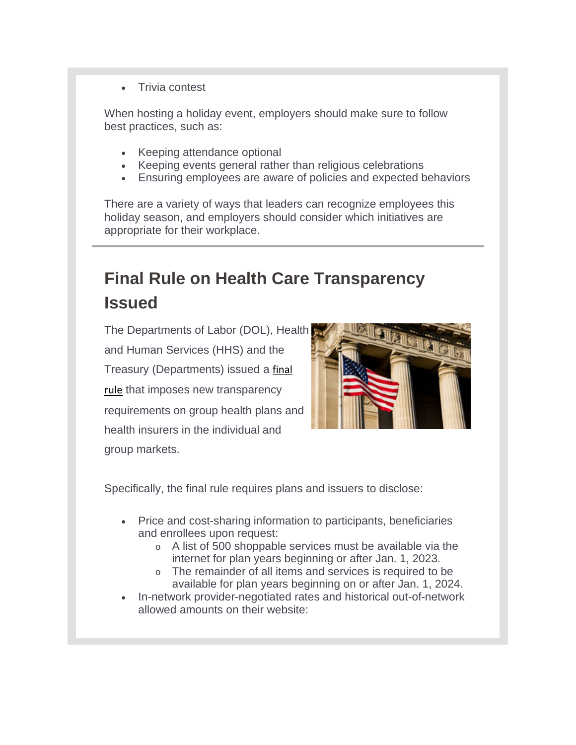• Trivia contest

When hosting a holiday event, employers should make sure to follow best practices, such as:

- Keeping attendance optional
- Keeping events general rather than religious celebrations
- Ensuring employees are aware of policies and expected behaviors

There are a variety of ways that leaders can recognize employees this holiday season, and employers should consider which initiatives are appropriate for their workplace.

# **Final Rule on Health Care Transparency Issued**

The Departments of Labor (DOL), Health and Human Services (HHS) and the Treasury (Departments) issued a [final](https://www.cms.gov/CCIIO/Resources/Regulations-and-Guidance/Downloads/CMS-Transparency-in-Coverage-9915F.pdf)  [rule](https://www.cms.gov/CCIIO/Resources/Regulations-and-Guidance/Downloads/CMS-Transparency-in-Coverage-9915F.pdf) that imposes new transparency requirements on group health plans and health insurers in the individual and group markets.



Specifically, the final rule requires plans and issuers to disclose:

- Price and cost-sharing information to participants, beneficiaries and enrollees upon request:
	- o A list of 500 shoppable services must be available via the internet for plan years beginning or after Jan. 1, 2023.
	- o The remainder of all items and services is required to be available for plan years beginning on or after Jan. 1, 2024.
- In-network provider-negotiated rates and historical out-of-network allowed amounts on their website: